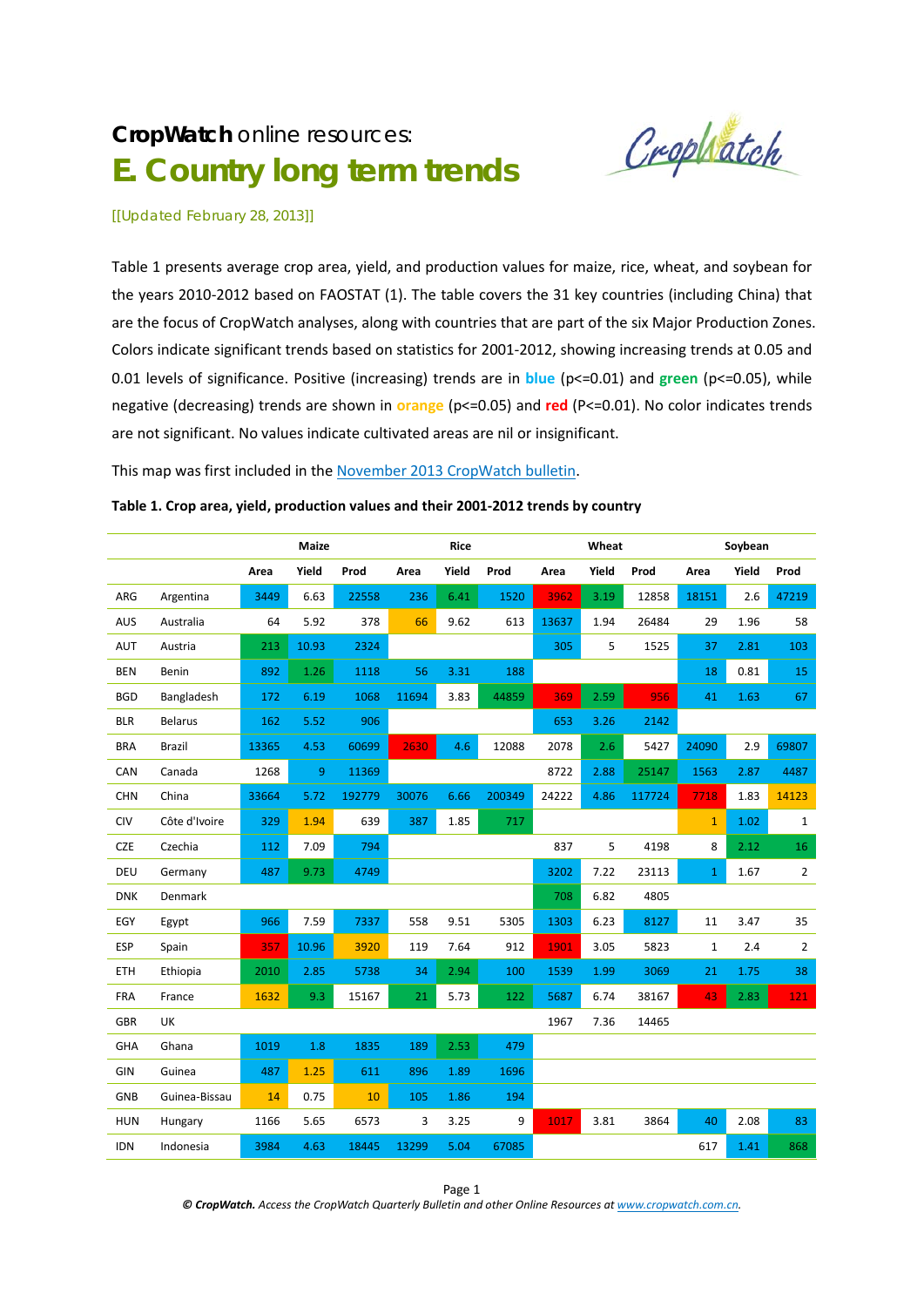## **CropWatch** *online resources:* **E. Country long term trends**

Crophatch

## [[Updated February 28, 2013]]

Table 1 presents average crop area, yield, and production values for maize, rice, wheat, and soybean for the years 2010-2012 based on FAOSTAT (1). The table covers the 31 key countries (including China) that are the focus of CropWatch analyses, along with countries that are part of the six Major Production Zones. Colors indicate significant trends based on statistics for 2001-2012, showing increasing trends at 0.05 and 0.01 levels of significance. Positive (increasing) trends are in **blue** (p<=0.01) and **green** (p<=0.05), while negative (decreasing) trends are shown in **orange** (p<=0.05) and **red** (P<=0.01). No color indicates trends are not significant. No values indicate cultivated areas are nil or insignificant.

This map was first included in the [November 2013 CropWatch bulletin.](http://www.cropwatch.com.cn/htm/en/bullAction!showBulletin.action)

|            |                | Maize |                |        | <b>Rice</b> |       |        | Wheat |       |        | Soybean      |       |                |  |
|------------|----------------|-------|----------------|--------|-------------|-------|--------|-------|-------|--------|--------------|-------|----------------|--|
|            |                | Area  | Yield          | Prod   | Area        | Yield | Prod   | Area  | Yield | Prod   | Area         | Yield | Prod           |  |
| ARG        | Argentina      | 3449  | 6.63           | 22558  | 236         | 6.41  | 1520   | 3962  | 3.19  | 12858  | 18151        | 2.6   | 47219          |  |
| <b>AUS</b> | Australia      | 64    | 5.92           | 378    | 66          | 9.62  | 613    | 13637 | 1.94  | 26484  | 29           | 1.96  | 58             |  |
| <b>AUT</b> | Austria        | 213   | 10.93          | 2324   |             |       |        | 305   | 5     | 1525   | 37           | 2.81  | 103            |  |
| <b>BEN</b> | Benin          | 892   | 1.26           | 1118   | 56          | 3.31  | 188    |       |       |        | 18           | 0.81  | 15             |  |
| <b>BGD</b> | Bangladesh     | 172   | 6.19           | 1068   | 11694       | 3.83  | 44859  | 369   | 2.59  | 956    | 41           | 1.63  | 67             |  |
| <b>BLR</b> | <b>Belarus</b> | 162   | 5.52           | 906    |             |       |        | 653   | 3.26  | 2142   |              |       |                |  |
| <b>BRA</b> | Brazil         | 13365 | 4.53           | 60699  | 2630        | 4.6   | 12088  | 2078  | 2.6   | 5427   | 24090        | 2.9   | 69807          |  |
| CAN        | Canada         | 1268  | $\overline{9}$ | 11369  |             |       |        | 8722  | 2.88  | 25147  | 1563         | 2.87  | 4487           |  |
| <b>CHN</b> | China          | 33664 | 5.72           | 192779 | 30076       | 6.66  | 200349 | 24222 | 4.86  | 117724 | 7718         | 1.83  | 14123          |  |
| CIV        | Côte d'Ivoire  | 329   | 1.94           | 639    | 387         | 1.85  | 717    |       |       |        | $\mathbf{1}$ | 1.02  | $\mathbf{1}$   |  |
| <b>CZE</b> | Czechia        | 112   | 7.09           | 794    |             |       |        | 837   | 5     | 4198   | 8            | 2.12  | 16             |  |
| DEU        | Germany        | 487   | 9.73           | 4749   |             |       |        | 3202  | 7.22  | 23113  | $\mathbf{1}$ | 1.67  | $\overline{2}$ |  |
| <b>DNK</b> | Denmark        |       |                |        |             |       |        | 708   | 6.82  | 4805   |              |       |                |  |
| EGY        | Egypt          | 966   | 7.59           | 7337   | 558         | 9.51  | 5305   | 1303  | 6.23  | 8127   | 11           | 3.47  | 35             |  |
| ESP        | Spain          | 357   | 10.96          | 3920   | 119         | 7.64  | 912    | 1901  | 3.05  | 5823   | $1\,$        | 2.4   | $\overline{2}$ |  |
| ETH        | Ethiopia       | 2010  | 2.85           | 5738   | 34          | 2.94  | 100    | 1539  | 1.99  | 3069   | 21           | 1.75  | 38             |  |
| <b>FRA</b> | France         | 1632  | 9.3            | 15167  | 21          | 5.73  | 122    | 5687  | 6.74  | 38167  | 43           | 2.83  | 121            |  |
| GBR        | UK             |       |                |        |             |       |        | 1967  | 7.36  | 14465  |              |       |                |  |
| GHA        | Ghana          | 1019  | 1.8            | 1835   | 189         | 2.53  | 479    |       |       |        |              |       |                |  |
| GIN        | Guinea         | 487   | 1.25           | 611    | 896         | 1.89  | 1696   |       |       |        |              |       |                |  |
| GNB        | Guinea-Bissau  | 14    | 0.75           | 10     | 105         | 1.86  | 194    |       |       |        |              |       |                |  |
| <b>HUN</b> | Hungary        | 1166  | 5.65           | 6573   | 3           | 3.25  | 9      | 1017  | 3.81  | 3864   | 40           | 2.08  | 83             |  |
| <b>IDN</b> | Indonesia      | 3984  | 4.63           | 18445  | 13299       | 5.04  | 67085  |       |       |        | 617          | 1.41  | 868            |  |

## **Table 1. Crop area, yield, production values and their 2001-2012 trends by country**

Page 1

*© CropWatch. Access the CropWatch Quarterly Bulletin and other Online Resources a[t www.cropwatch.com.cn.](http://www.cropwatch.com.cn/)*